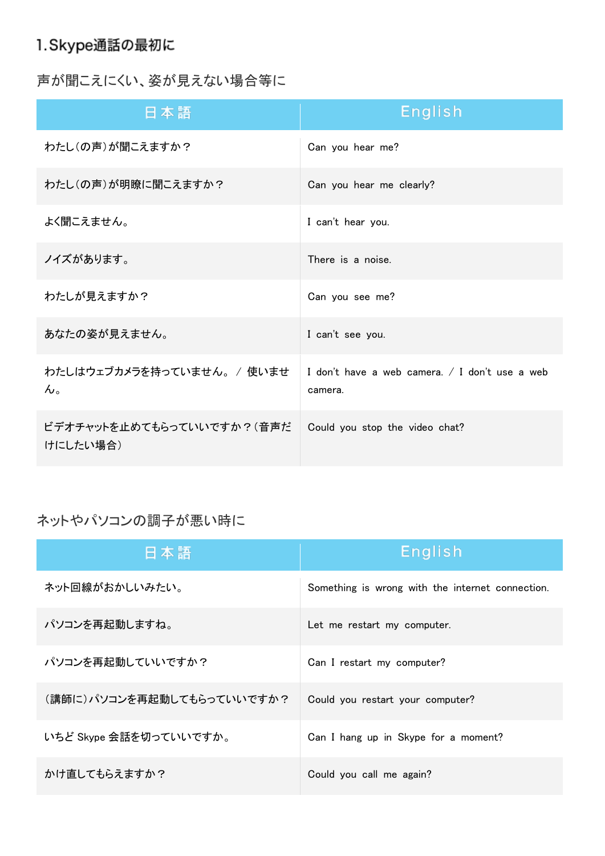# 1.Skype通話の最初に

声が聞こえにくい、姿が見えない場合等に

| 日本語                                                 | <b>English</b>                                            |
|-----------------------------------------------------|-----------------------------------------------------------|
| わたし(の声)が聞こえますか?                                     | Can you hear me?                                          |
| わたし(の声)が明瞭に聞こえますか?                                  | Can you hear me clearly?                                  |
| よく聞こえません。                                           | I can't hear you.                                         |
| ノイズがあります。                                           | There is a noise.                                         |
| わたしが見えますか?                                          | Can you see me?                                           |
| あなたの姿が見えません。                                        | I can't see you.                                          |
| わたしはウェブカメラを持っていません。 / 使いませ<br>$\mathcal{H}^{\circ}$ | I don't have a web camera. / I don't use a web<br>camera. |
| ビデオチャットを止めてもらっていいですか?(音声だ<br>けにしたい場合)               | Could you stop the video chat?                            |

ネットやパソコンの調子が悪い時に

| 日本語                       | English                                          |
|---------------------------|--------------------------------------------------|
| ネット回線がおかしいみたい。            | Something is wrong with the internet connection. |
| パソコンを再起動しますね。             | Let me restart my computer.                      |
| パソコンを再起動していいですか?          | Can I restart my computer?                       |
| (講師に)パソコンを再起動してもらっていいですか? | Could you restart your computer?                 |
| いちど Skype 会話を切っていいですか。    | Can I hang up in Skype for a moment?             |
| かけ直してもらえますか?              | Could you call me again?                         |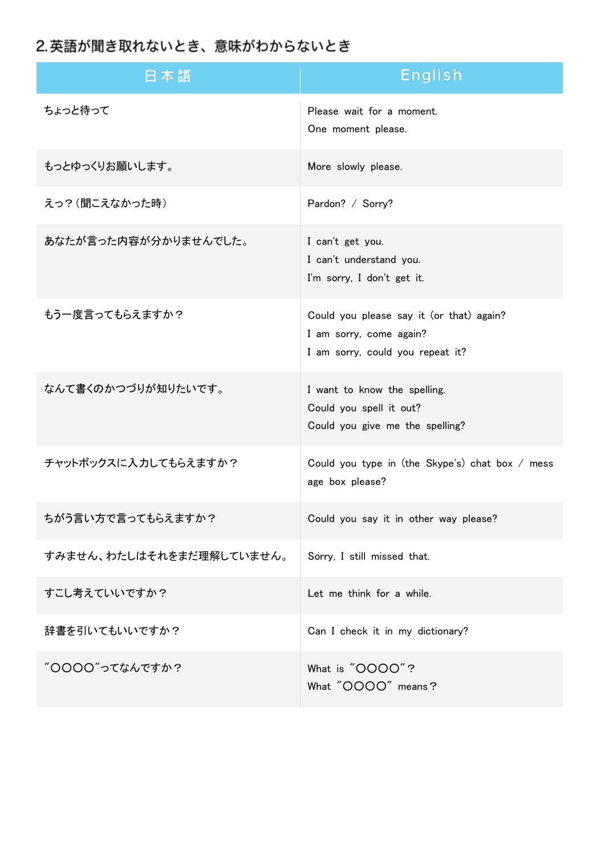# 2. 英語が聞き取れないとき、意味がわからないとき

| 日本語                      | English                                                                                                 |
|--------------------------|---------------------------------------------------------------------------------------------------------|
| ちょっと待って                  | Please wait for a moment.<br>One moment please.                                                         |
| もっとゆっくりお願いします。           | More slowly please.                                                                                     |
| えっ?(聞こえなかった時)            | Pardon? / Sorry?                                                                                        |
| あなたが言った内容が分かりませんでした。     | I can't get you.<br>I can't understand you.<br>I'm sorry, I don't get it.                               |
| もう一度言ってもらえますか?           | Could you please say it (or that) again?<br>I am sorry, come again?<br>I am sorry, could you repeat it? |
| なんて書くのかつづりが知りたいです。       | I want to know the spelling.<br>Could you spell it out?<br>Could you give me the spelling?              |
| チャットボックスに入力してもらえますか?     | Could you type in (the Skype's) chat box / mess<br>age box please?                                      |
| ちがう言い方で言ってもらえますか?        | Could you say it in other way please?                                                                   |
| すみません、わたしはそれをまだ理解していません。 | Sorry, I still missed that.                                                                             |
| すこし考えていいですか?             | Let me think for a while.                                                                               |
| 辞書を引いてもいいですか?            | Can I check it in my dictionary?                                                                        |
| "OOOO"ってなんですか?           | What is "OOOO"?<br>What "OOOO" means?                                                                   |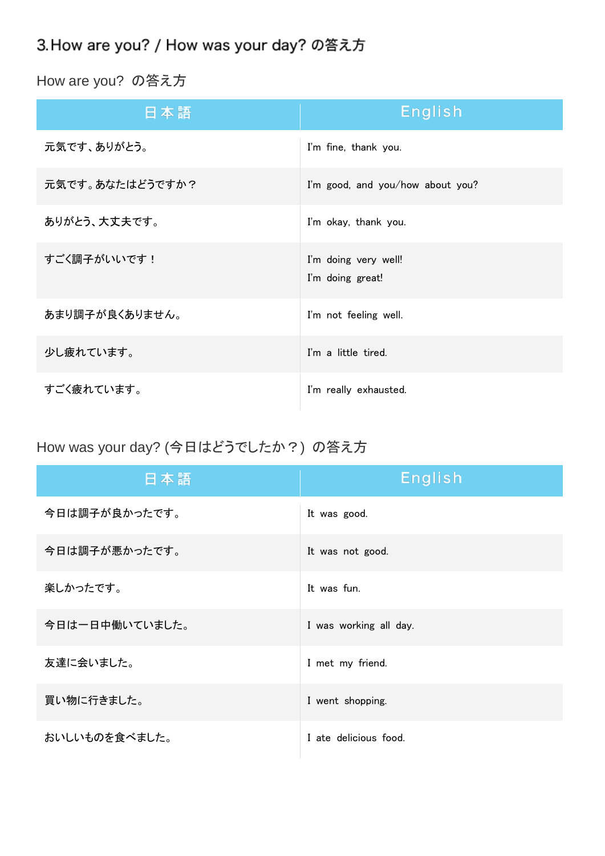# 3. How are you? / How was your day? の答え方

How are you? の答え方

| 日本語             | <b>English</b>                           |
|-----------------|------------------------------------------|
| 元気です、ありがとう。     | I'm fine, thank you.                     |
| 元気です。あなたはどうですか? | I'm good, and you/how about you?         |
| ありがとう、大丈夫です。    | I'm okay, thank you.                     |
| すごく調子がいいです!     | I'm doing very well!<br>I'm doing great! |
| あまり調子が良くありません。  | I'm not feeling well.                    |
| 少し疲れています。       | I'm a little tired.                      |
| すごく疲れています。      | I'm really exhausted.                    |

How was your day? (今日はどうでしたか?) の答え方

| 日本語            | <b>English</b>         |
|----------------|------------------------|
| 今日は調子が良かったです。  | It was good.           |
| 今日は調子が悪かったです。  | It was not good.       |
| 楽しかったです。       | It was fun.            |
| 今日は一日中働いていました。 | I was working all day. |
| 友達に会いました。      | I met my friend.       |
| 買い物に行きました。     | I went shopping.       |
| おいしいものを食べました。  | I ate delicious food.  |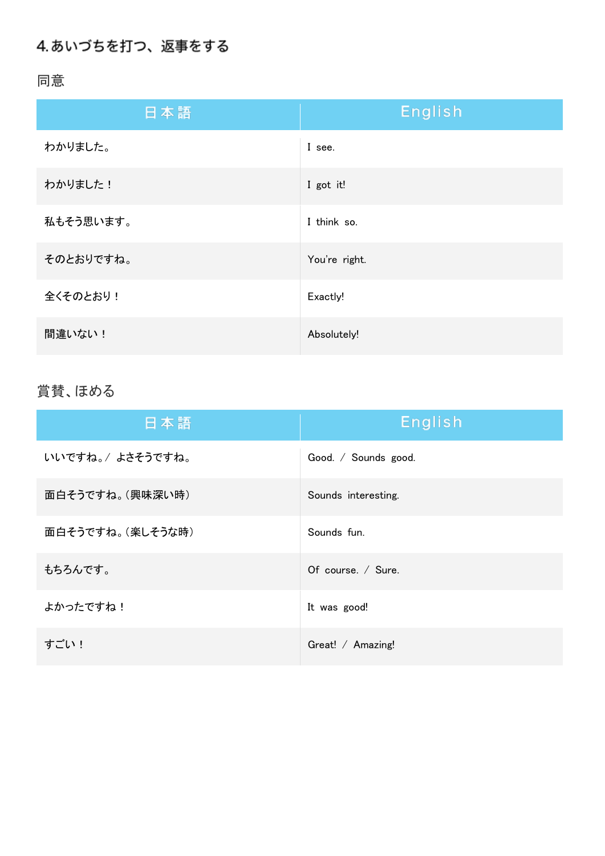# 4. あいづちを打つ、返事をする

同意

| 日本語       | <b>English</b> |
|-----------|----------------|
| わかりました。   | I see.         |
| わかりました!   | I got it!      |
| 私もそう思います。 | I think so.    |
| そのとおりですね。 | You're right.  |
| 全くそのとおり!  | Exactly!       |
| 間違いない!    | Absolutely!    |

### 賞賛、ほめる

| 日本語              | English              |
|------------------|----------------------|
| いいですね。/ よさそうですね。 | Good. / Sounds good. |
| 面白そうですね。(興味深い時)  | Sounds interesting.  |
| 面白そうですね。(楽しそうな時) | Sounds fun.          |
| もちろんです。          | Of course. / Sure.   |
| よかったですね!         | It was good!         |
| すごい!             | Great! / Amazing!    |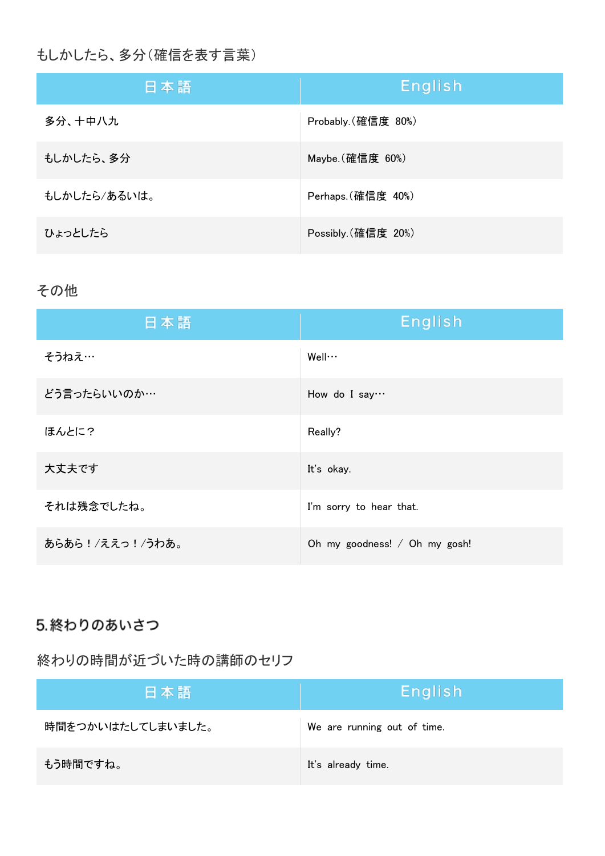### もしかしたら、多分(確信を表す言葉)

| 日本語          | English             |
|--------------|---------------------|
| 多分、十中八九      | Probably. (確信度 80%) |
| もしかしたら、多分    | Maybe. (確信度 60%)    |
| もしかしたら/あるいは。 | Perhaps. (確信度 40%)  |
| ひょっとしたら      | Possibly. (確信度 20%) |

#### その他

| 日本語             | <b>English</b>                |
|-----------------|-------------------------------|
| そうねえ…           | $W$ ell $\cdots$              |
| どう言ったらいいのか…     | How do I say…                 |
| ほんとに?           | Really?                       |
| 大丈夫です           | It's okay.                    |
| それは残念でしたね。      | I'm sorry to hear that.       |
| あらあら!/ええっ!/うわあ。 | Oh my goodness! / Oh my gosh! |

### 5.終わりのあいさつ

### 終わりの時間が近づいた時の講師のセリフ

| 日本語               | English                     |
|-------------------|-----------------------------|
| 時間をつかいはたしてしまいました。 | We are running out of time. |
| もう時間ですね。          | It's already time.          |